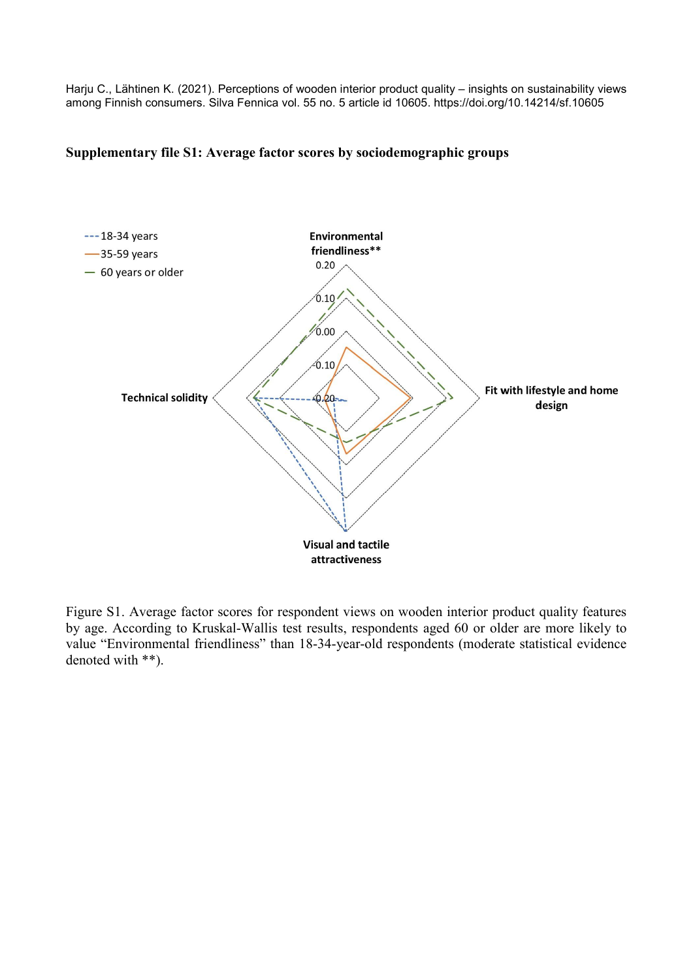Harju C., Lähtinen K. (2021). Perceptions of wooden interior product quality – insights on sustainability views among Finnish consumers. Silva Fennica vol. 55 no. 5 article id 10605. https://doi.org/10.14214/sf.10605

## **Supplementary file S1: Average factor scores by sociodemographic groups**



Figure S1. Average factor scores for respondent views on wooden interior product quality features by age. According to Kruskal-Wallis test results, respondents aged 60 or older are more likely to value "Environmental friendliness" than 18-34-year-old respondents (moderate statistical evidence denoted with \*\*).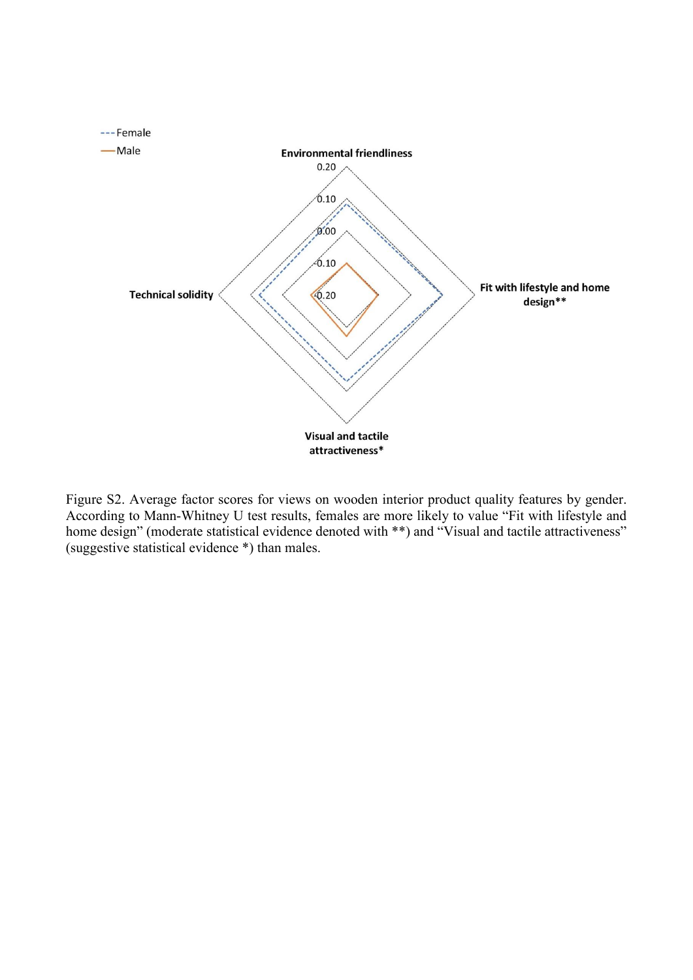

Figure S2. Average factor scores for views on wooden interior product quality features by gender. According to Mann-Whitney U test results, females are more likely to value "Fit with lifestyle and home design" (moderate statistical evidence denoted with \*\*) and "Visual and tactile attractiveness" (suggestive statistical evidence \*) than males.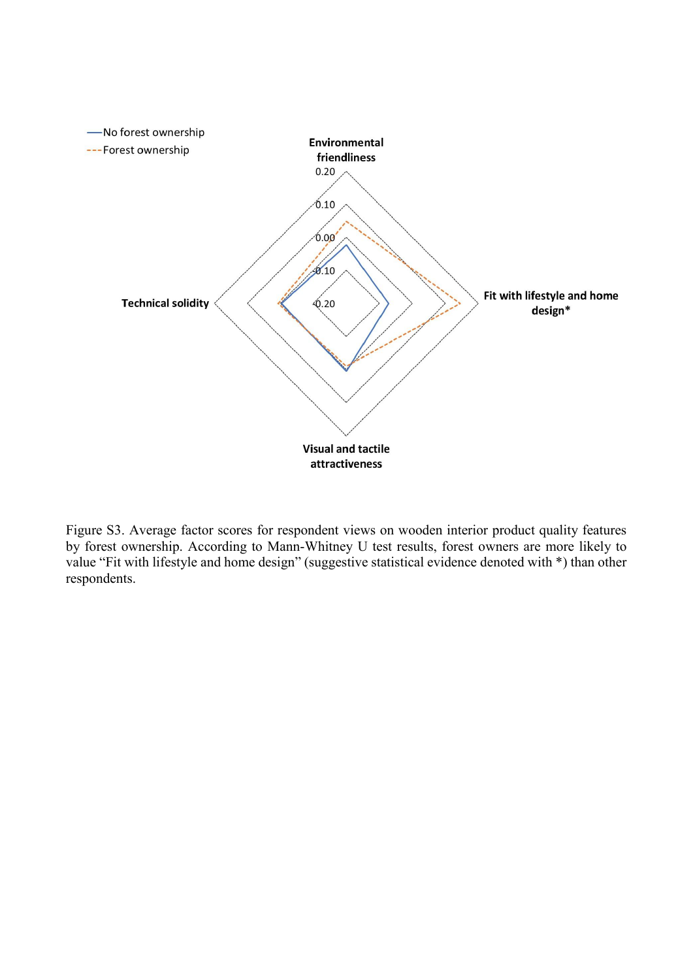

Figure S3. Average factor scores for respondent views on wooden interior product quality features by forest ownership. According to Mann-Whitney U test results, forest owners are more likely to value "Fit with lifestyle and home design" (suggestive statistical evidence denoted with \*) than other respondents.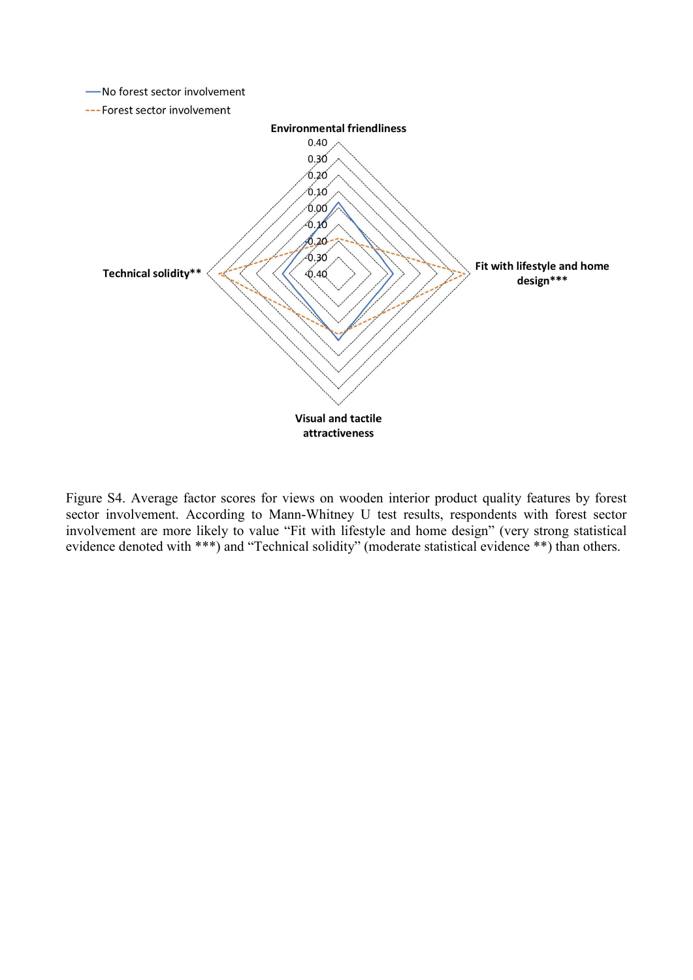

--- Forest sector involvement



Figure S4. Average factor scores for views on wooden interior product quality features by forest sector involvement. According to Mann-Whitney U test results, respondents with forest sector involvement are more likely to value "Fit with lifestyle and home design" (very strong statistical evidence denoted with \*\*\*) and "Technical solidity" (moderate statistical evidence \*\*) than others.